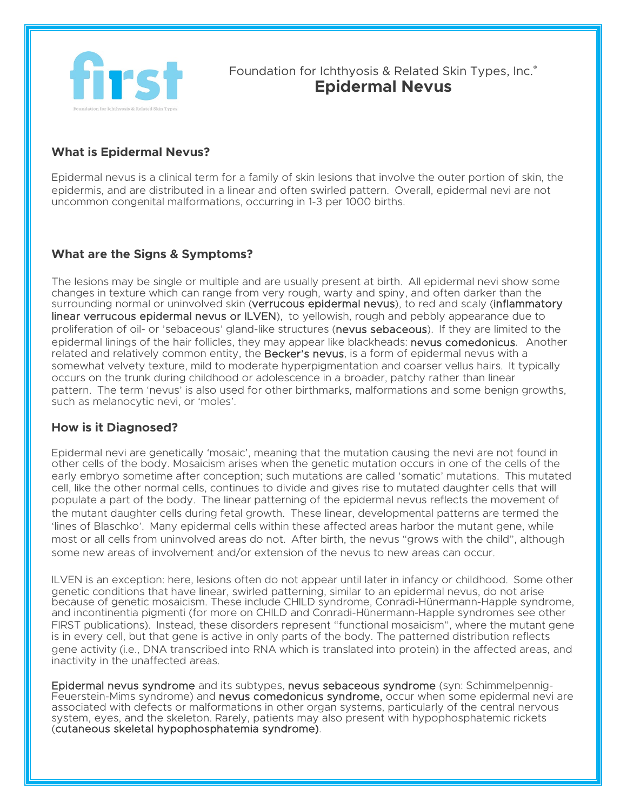

Foundation for Ichthyosis & Related Skin Types, Inc.<sup>®</sup> **Epidermal Nevus**

## **What is Epidermal Nevus?**

Epidermal nevus is a clinical term for a family of skin lesions that involve the outer portion of skin, the epidermis, and are distributed in a linear and often swirled pattern. Overall, epidermal nevi are not uncommon congenital malformations, occurring in 1-3 per 1000 births.

## **What are the Signs & Symptoms?**

The lesions may be single or multiple and are usually present at birth. All epidermal nevi show some changes in texture which can range from very rough, warty and spiny, and often darker than the surrounding normal or uninvolved skin (verrucous epidermal nevus), to red and scaly (inflammatory linear verrucous epidermal nevus or ILVEN), to yellowish, rough and pebbly appearance due to proliferation of oil- or 'sebaceous' gland-like structures (nevus sebaceous). If they are limited to the epidermal linings of the hair follicles, they may appear like blackheads: nevus comedonicus. Another related and relatively common entity, the **Becker's nevus**, is a form of epidermal nevus with a somewhat velvety texture, mild to moderate hyperpigmentation and coarser vellus hairs. It typically occurs on the trunk during childhood or adolescence in a broader, patchy rather than linear pattern. The term 'nevus' is also used for other birthmarks, malformations and some benign growths, such as melanocytic nevi, or 'moles'.

## **How is it Diagnosed?**

Epidermal nevi are genetically 'mosaic', meaning that the mutation causing the nevi are not found in other cells of the body. Mosaicism arises when the genetic mutation occurs in one of the cells of the early embryo sometime after conception; such mutations are called 'somatic' mutations. This mutated cell, like the other normal cells, continues to divide and gives rise to mutated daughter cells that will populate a part of the body. The linear patterning of the epidermal nevus reflects the movement of the mutant daughter cells during fetal growth. These linear, developmental patterns are termed the 'lines of Blaschko'. Many epidermal cells within these affected areas harbor the mutant gene, while most or all cells from uninvolved areas do not. After birth, the nevus "grows with the child", although some new areas of involvement and/or extension of the nevus to new areas can occur.

ILVEN is an exception: here, lesions often do not appear until later in infancy or childhood. Some other genetic conditions that have linear, swirled patterning, similar to an epidermal nevus, do not arise because of genetic mosaicism. These include CHILD syndrome, Conradi-Hünermann-Happle syndrome, and incontinentia pigmenti (for more on CHILD and Conradi-Hünermann-Happle syndromes see other FIRST publications). Instead, these disorders represent "functional mosaicism", where the mutant gene is in every cell, but that gene is active in only parts of the body. The patterned distribution reflects gene activity (i.e., DNA transcribed into RNA which is translated into protein) in the affected areas, and inactivity in the unaffected areas.

Epidermal nevus syndrome and its subtypes, nevus sebaceous syndrome (syn: Schimmelpennig-Feuerstein-Mims syndrome) and nevus comedonicus syndrome, occur when some epidermal nevi are associated with defects or malformations in other organ systems, particularly of the central nervous system, eyes, and the skeleton. Rarely, patients may also present with hypophosphatemic rickets (cutaneous skeletal hypophosphatemia syndrome).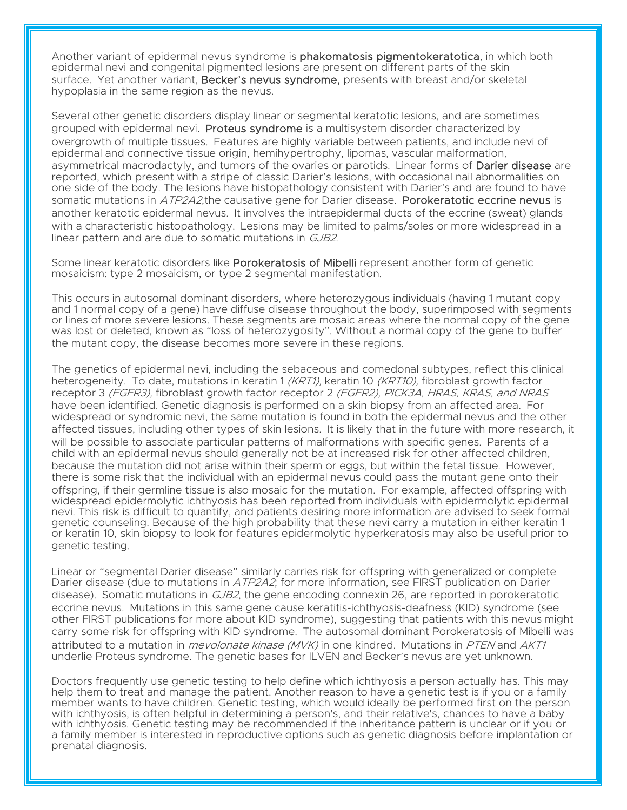Another variant of epidermal nevus syndrome is **phakomatosis pigmentokeratotica**, in which both epidermal nevi and congenital pigmented lesions are present on different parts of the skin surface. Yet another variant, Becker's nevus syndrome, presents with breast and/or skeletal hypoplasia in the same region as the nevus.

Several other genetic disorders display linear or segmental keratotic lesions, and are sometimes grouped with epidermal nevi. Proteus syndrome is a multisystem disorder characterized by overgrowth of multiple tissues. Features are highly variable between patients, and include nevi of epidermal and connective tissue origin, hemihypertrophy, lipomas, vascular malformation, asymmetrical macrodactyly, and tumors of the ovaries or parotids. Linear forms of **Darier disease** are reported, which present with a stripe of classic Darier's lesions, with occasional nail abnormalities on one side of the body. The lesions have histopathology consistent with Darier's and are found to have somatic mutations in ATP2A2, the causative gene for Darier disease. Porokeratotic eccrine nevus is another keratotic epidermal nevus. It involves the intraepidermal ducts of the eccrine (sweat) glands with a characteristic histopathology. Lesions may be limited to palms/soles or more widespread in a linear pattern and are due to somatic mutations in GJB2.

Some linear keratotic disorders like **Porokeratosis of Mibelli** represent another form of genetic mosaicism: type 2 mosaicism, or type 2 segmental manifestation.

This occurs in autosomal dominant disorders, where heterozygous individuals (having 1 mutant copy and 1 normal copy of a gene) have diffuse disease throughout the body, superimposed with segments or lines of more severe lesions. These segments are mosaic areas where the normal copy of the gene was lost or deleted, known as "loss of heterozygosity". Without a normal copy of the gene to buffer the mutant copy, the disease becomes more severe in these regions.

The genetics of epidermal nevi, including the sebaceous and comedonal subtypes, reflect this clinical heterogeneity. To date, mutations in keratin 1 (KRT1), keratin 10 (KRT10), fibroblast growth factor receptor 3 (FGFR3), fibroblast growth factor receptor 2 (FGFR2), PICK3A, HRAS, KRAS, and NRAS have been identified. Genetic diagnosis is performed on a skin biopsy from an affected area. For widespread or syndromic nevi, the same mutation is found in both the epidermal nevus and the other affected tissues, including other types of skin lesions. It is likely that in the future with more research, it will be possible to associate particular patterns of malformations with specific genes. Parents of a child with an epidermal nevus should generally not be at increased risk for other affected children, because the mutation did not arise within their sperm or eggs, but within the fetal tissue. However, there is some risk that the individual with an epidermal nevus could pass the mutant gene onto their offspring, if their germline tissue is also mosaic for the mutation. For example, affected offspring with widespread epidermolytic ichthyosis has been reported from individuals with epidermolytic epidermal nevi. This risk is difficult to quantify, and patients desiring more information are advised to seek formal genetic counseling. Because of the high probability that these nevi carry a mutation in either keratin 1 or keratin 10, skin biopsy to look for features epidermolytic hyperkeratosis may also be useful prior to genetic testing.

Linear or "segmental [Darier disease"](http://firstskinfoundation.aimgbeta.com/types-of-Ichthyosis/Darier-Disease) similarly carries risk for offspring with generalized or complete Darier disease (due to mutations in ATP2A2; for more information, see FIRST publication on Darier disease). Somatic mutations in GJB2, the gene encoding connexin 26, are reported in porokeratotic eccrine nevus. Mutations in this same gene cause keratitis-ichthyosis-deafness (KID) syndrome (see other FIRST publications for more about KID syndrome), suggesting that patients with this nevus might carry some risk for offspring with KID syndrome. The autosomal dominant Porokeratosis of Mibelli was attributed to a mutation in *mevolonate kinase (MVK)* in one kindred. Mutations in *PTEN* and *AKT1* underlie Proteus syndrome. The genetic bases for ILVEN and Becker's nevus are yet unknown.

Doctors frequently use genetic testing to help define which ichthyosis a person actually has. This may help them to treat and manage the patient. Another reason to have a genetic test is if you or a family member wants to have children. Genetic testing, which would ideally be performed first on the person with ichthyosis, is often helpful in determining a person's, and their relative's, chances to have a baby with ichthyosis. Genetic testing may be recommended if the inheritance pattern is unclear or if you or a family member is interested in reproductive options such as genetic diagnosis before implantation or prenatal diagnosis.